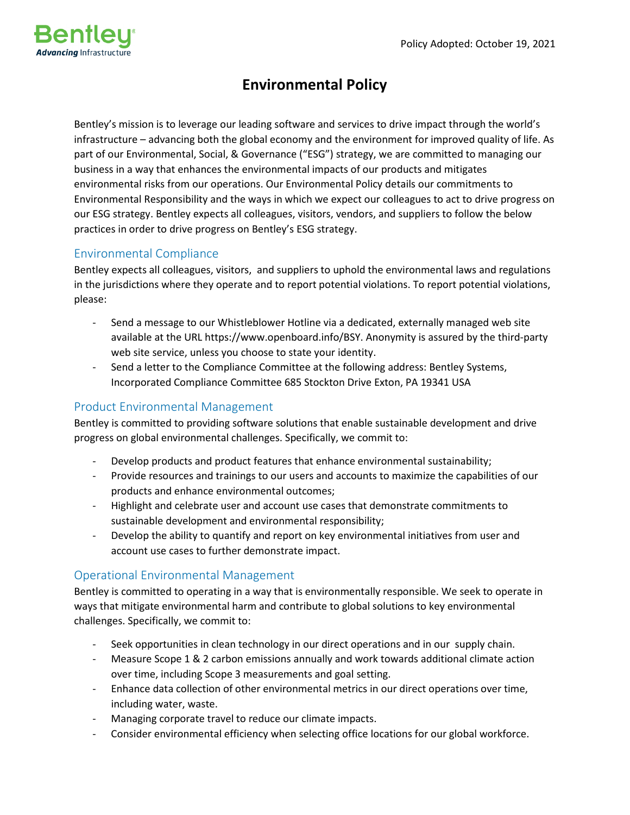

## **Environmental Policy**

Bentley's mission is to leverage our leading software and services to drive impact through the world's infrastructure – advancing both the global economy and the environment for improved quality of life. As part of our Environmental, Social, & Governance ("ESG") strategy, we are committed to managing our business in a way that enhances the environmental impacts of our products and mitigates environmental risks from our operations. Our Environmental Policy details our commitments to Environmental Responsibility and the ways in which we expect our colleagues to act to drive progress on our ESG strategy. Bentley expects all colleagues, visitors, vendors, and suppliers to follow the below practices in order to drive progress on Bentley's ESG strategy.

## Environmental Compliance

Bentley expects all colleagues, visitors, and suppliers to uphold the environmental laws and regulations in the jurisdictions where they operate and to report potential violations. To report potential violations, please:

- Send a message to our Whistleblower Hotline via a dedicated, externally managed web site available at the URL https://www.openboard.info/BSY. Anonymity is assured by the third-party web site service, unless you choose to state your identity.
- Send a letter to the Compliance Committee at the following address: Bentley Systems, Incorporated Compliance Committee 685 Stockton Drive Exton, PA 19341 USA

## Product Environmental Management

Bentley is committed to providing software solutions that enable sustainable development and drive progress on global environmental challenges. Specifically, we commit to:

- Develop products and product features that enhance environmental sustainability;
- Provide resources and trainings to our users and accounts to maximize the capabilities of our products and enhance environmental outcomes;
- Highlight and celebrate user and account use cases that demonstrate commitments to sustainable development and environmental responsibility;
- Develop the ability to quantify and report on key environmental initiatives from user and account use cases to further demonstrate impact.

## Operational Environmental Management

Bentley is committed to operating in a way that is environmentally responsible. We seek to operate in ways that mitigate environmental harm and contribute to global solutions to key environmental challenges. Specifically, we commit to:

- Seek opportunities in clean technology in our direct operations and in our supply chain.
- Measure Scope 1 & 2 carbon emissions annually and work towards additional climate action over time, including Scope 3 measurements and goal setting.
- Enhance data collection of other environmental metrics in our direct operations over time, including water, waste.
- Managing corporate travel to reduce our climate impacts.
- Consider environmental efficiency when selecting office locations for our global workforce.